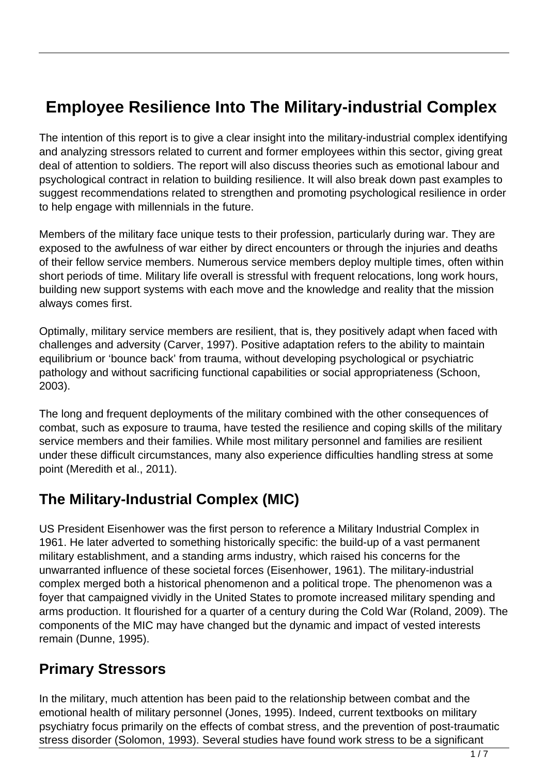# **Employee Resilience Into The Military-industrial Complex**

The intention of this report is to give a clear insight into the military-industrial complex identifying and analyzing stressors related to current and former employees within this sector, giving great deal of attention to soldiers. The report will also discuss theories such as emotional labour and psychological contract in relation to building resilience. It will also break down past examples to suggest recommendations related to strengthen and promoting psychological resilience in order to help engage with millennials in the future.

Members of the military face unique tests to their profession, particularly during war. They are exposed to the awfulness of war either by direct encounters or through the injuries and deaths of their fellow service members. Numerous service members deploy multiple times, often within short periods of time. Military life overall is stressful with frequent relocations, long work hours, building new support systems with each move and the knowledge and reality that the mission always comes first.

Optimally, military service members are resilient, that is, they positively adapt when faced with challenges and adversity (Carver, 1997). Positive adaptation refers to the ability to maintain equilibrium or 'bounce back' from trauma, without developing psychological or psychiatric pathology and without sacrificing functional capabilities or social appropriateness (Schoon, 2003).

The long and frequent deployments of the military combined with the other consequences of combat, such as exposure to trauma, have tested the resilience and coping skills of the military service members and their families. While most military personnel and families are resilient under these difficult circumstances, many also experience difficulties handling stress at some point (Meredith et al., 2011).

### **The Military-Industrial Complex (MIC)**

US President Eisenhower was the first person to reference a Military Industrial Complex in 1961. He later adverted to something historically specific: the build-up of a vast permanent military establishment, and a standing arms industry, which raised his concerns for the unwarranted influence of these societal forces (Eisenhower, 1961). The military-industrial complex merged both a historical phenomenon and a political trope. The phenomenon was a foyer that campaigned vividly in the United States to promote increased military spending and arms production. It flourished for a quarter of a century during the Cold War (Roland, 2009). The components of the MIC may have changed but the dynamic and impact of vested interests remain (Dunne, 1995).

#### **Primary Stressors**

In the military, much attention has been paid to the relationship between combat and the emotional health of military personnel (Jones, 1995). Indeed, current textbooks on military psychiatry focus primarily on the effects of combat stress, and the prevention of post-traumatic stress disorder (Solomon, 1993). Several studies have found work stress to be a significant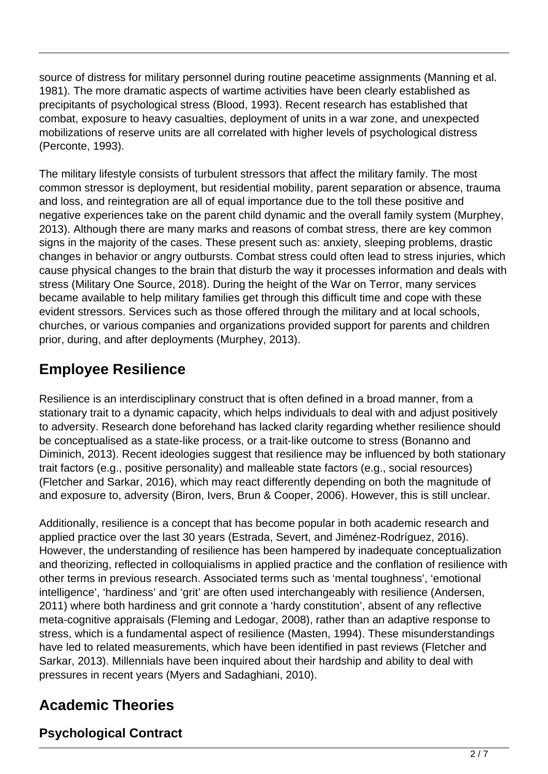source of distress for military personnel during routine peacetime assignments (Manning et al. 1981). The more dramatic aspects of wartime activities have been clearly established as precipitants of psychological stress (Blood, 1993). Recent research has established that combat, exposure to heavy casualties, deployment of units in a war zone, and unexpected mobilizations of reserve units are all correlated with higher levels of psychological distress (Perconte, 1993).

The military lifestyle consists of turbulent stressors that affect the military family. The most common stressor is deployment, but residential mobility, parent separation or absence, trauma and loss, and reintegration are all of equal importance due to the toll these positive and negative experiences take on the parent child dynamic and the overall family system (Murphey, 2013). Although there are many marks and reasons of combat stress, there are key common signs in the majority of the cases. These present such as: anxiety, sleeping problems, drastic changes in behavior or angry outbursts. Combat stress could often lead to stress injuries, which cause physical changes to the brain that disturb the way it processes information and deals with stress (Military One Source, 2018). During the height of the War on Terror, many services became available to help military families get through this difficult time and cope with these evident stressors. Services such as those offered through the military and at local schools, churches, or various companies and organizations provided support for parents and children prior, during, and after deployments (Murphey, 2013).

## **Employee Resilience**

Resilience is an interdisciplinary construct that is often defined in a broad manner, from a stationary trait to a dynamic capacity, which helps individuals to deal with and adjust positively to adversity. Research done beforehand has lacked clarity regarding whether resilience should be conceptualised as a state-like process, or a trait-like outcome to stress (Bonanno and Diminich, 2013). Recent ideologies suggest that resilience may be influenced by both stationary trait factors (e.g., positive personality) and malleable state factors (e.g., social resources) (Fletcher and Sarkar, 2016), which may react differently depending on both the magnitude of and exposure to, adversity (Biron, Ivers, Brun & Cooper, 2006). However, this is still unclear.

Additionally, resilience is a concept that has become popular in both academic research and applied practice over the last 30 years (Estrada, Severt, and Jiménez-Rodríguez, 2016). However, the understanding of resilience has been hampered by inadequate conceptualization and theorizing, reflected in colloquialisms in applied practice and the conflation of resilience with other terms in previous research. Associated terms such as 'mental toughness', 'emotional intelligence', 'hardiness' and 'grit' are often used interchangeably with resilience (Andersen, 2011) where both hardiness and grit connote a 'hardy constitution', absent of any reflective meta-cognitive appraisals (Fleming and Ledogar, 2008), rather than an adaptive response to stress, which is a fundamental aspect of resilience (Masten, 1994). These misunderstandings have led to related measurements, which have been identified in past reviews (Fletcher and Sarkar, 2013). Millennials have been inquired about their hardship and ability to deal with pressures in recent years (Myers and Sadaghiani, 2010).

# **Academic Theories**

#### **Psychological Contract**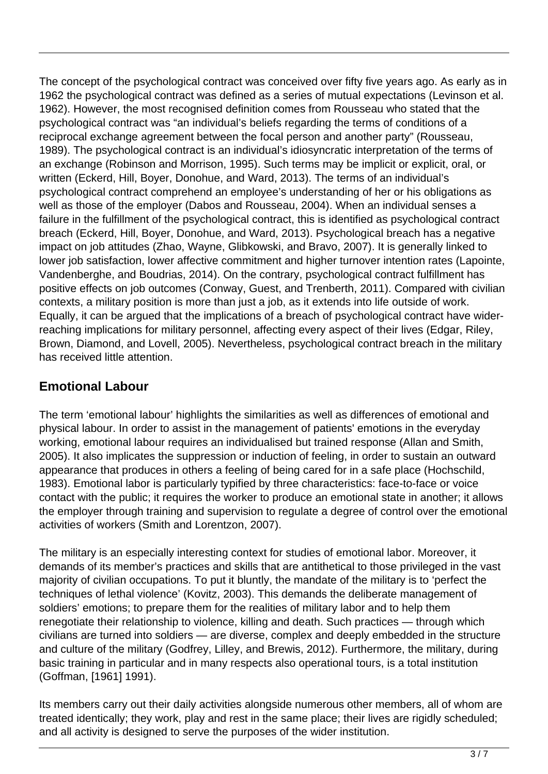The concept of the psychological contract was conceived over fifty five years ago. As early as in 1962 the psychological contract was defined as a series of mutual expectations (Levinson et al. 1962). However, the most recognised definition comes from Rousseau who stated that the psychological contract was "an individual's beliefs regarding the terms of conditions of a reciprocal exchange agreement between the focal person and another party" (Rousseau, 1989). The psychological contract is an individual's idiosyncratic interpretation of the terms of an exchange (Robinson and Morrison, 1995). Such terms may be implicit or explicit, oral, or written (Eckerd, Hill, Boyer, Donohue, and Ward, 2013). The terms of an individual's psychological contract comprehend an employee's understanding of her or his obligations as well as those of the employer (Dabos and Rousseau, 2004). When an individual senses a failure in the fulfillment of the psychological contract, this is identified as psychological contract breach (Eckerd, Hill, Boyer, Donohue, and Ward, 2013). Psychological breach has a negative impact on job attitudes (Zhao, Wayne, Glibkowski, and Bravo, 2007). It is generally linked to lower job satisfaction, lower affective commitment and higher turnover intention rates (Lapointe, Vandenberghe, and Boudrias, 2014). On the contrary, psychological contract fulfillment has positive effects on job outcomes (Conway, Guest, and Trenberth, 2011). Compared with civilian contexts, a military position is more than just a job, as it extends into life outside of work. Equally, it can be argued that the implications of a breach of psychological contract have widerreaching implications for military personnel, affecting every aspect of their lives (Edgar, Riley, Brown, Diamond, and Lovell, 2005). Nevertheless, psychological contract breach in the military has received little attention.

#### **Emotional Labour**

The term 'emotional labour' highlights the similarities as well as differences of emotional and physical labour. In order to assist in the management of patients' emotions in the everyday working, emotional labour requires an individualised but trained response (Allan and Smith, 2005). It also implicates the suppression or induction of feeling, in order to sustain an outward appearance that produces in others a feeling of being cared for in a safe place (Hochschild, 1983). Emotional labor is particularly typified by three characteristics: face-to-face or voice contact with the public; it requires the worker to produce an emotional state in another; it allows the employer through training and supervision to regulate a degree of control over the emotional activities of workers (Smith and Lorentzon, 2007).

The military is an especially interesting context for studies of emotional labor. Moreover, it demands of its member's practices and skills that are antithetical to those privileged in the vast majority of civilian occupations. To put it bluntly, the mandate of the military is to 'perfect the techniques of lethal violence' (Kovitz, 2003). This demands the deliberate management of soldiers' emotions; to prepare them for the realities of military labor and to help them renegotiate their relationship to violence, killing and death. Such practices — through which civilians are turned into soldiers — are diverse, complex and deeply embedded in the structure and culture of the military (Godfrey, Lilley, and Brewis, 2012). Furthermore, the military, during basic training in particular and in many respects also operational tours, is a total institution (Goffman, [1961] 1991).

Its members carry out their daily activities alongside numerous other members, all of whom are treated identically; they work, play and rest in the same place; their lives are rigidly scheduled; and all activity is designed to serve the purposes of the wider institution.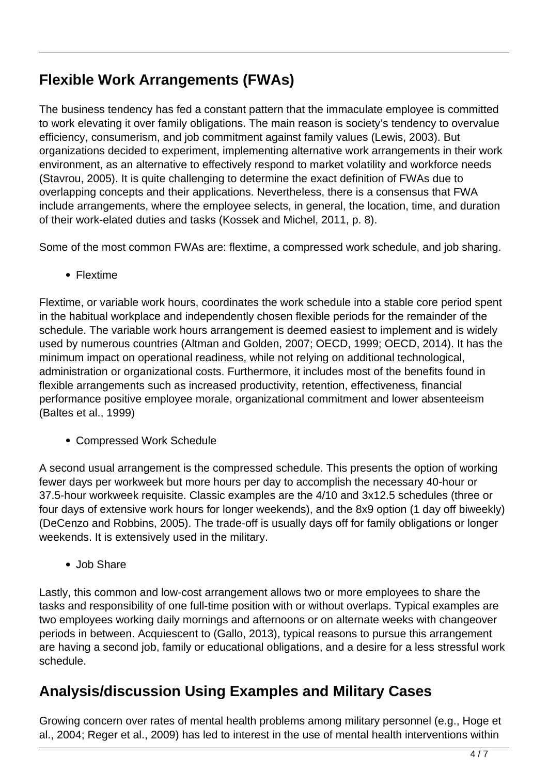## **Flexible Work Arrangements (FWAs)**

The business tendency has fed a constant pattern that the immaculate employee is committed to work elevating it over family obligations. The main reason is society's tendency to overvalue efficiency, consumerism, and job commitment against family values (Lewis, 2003). But organizations decided to experiment, implementing alternative work arrangements in their work environment, as an alternative to effectively respond to market volatility and workforce needs (Stavrou, 2005). It is quite challenging to determine the exact definition of FWAs due to overlapping concepts and their applications. Nevertheless, there is a consensus that FWA include arrangements, where the employee selects, in general, the location, time, and duration of their work-elated duties and tasks (Kossek and Michel, 2011, p. 8).

Some of the most common FWAs are: flextime, a compressed work schedule, and job sharing.

• Flextime

Flextime, or variable work hours, coordinates the work schedule into a stable core period spent in the habitual workplace and independently chosen flexible periods for the remainder of the schedule. The variable work hours arrangement is deemed easiest to implement and is widely used by numerous countries (Altman and Golden, 2007; OECD, 1999; OECD, 2014). It has the minimum impact on operational readiness, while not relying on additional technological, administration or organizational costs. Furthermore, it includes most of the benefits found in flexible arrangements such as increased productivity, retention, effectiveness, financial performance positive employee morale, organizational commitment and lower absenteeism (Baltes et al., 1999)

Compressed Work Schedule

A second usual arrangement is the compressed schedule. This presents the option of working fewer days per workweek but more hours per day to accomplish the necessary 40-hour or 37.5-hour workweek requisite. Classic examples are the 4/10 and 3x12.5 schedules (three or four days of extensive work hours for longer weekends), and the 8x9 option (1 day off biweekly) (DeCenzo and Robbins, 2005). The trade-off is usually days off for family obligations or longer weekends. It is extensively used in the military.

• Job Share

Lastly, this common and low-cost arrangement allows two or more employees to share the tasks and responsibility of one full-time position with or without overlaps. Typical examples are two employees working daily mornings and afternoons or on alternate weeks with changeover periods in between. Acquiescent to (Gallo, 2013), typical reasons to pursue this arrangement are having a second job, family or educational obligations, and a desire for a less stressful work schedule.

### **Analysis/discussion Using Examples and Military Cases**

Growing concern over rates of mental health problems among military personnel (e.g., Hoge et al., 2004; Reger et al., 2009) has led to interest in the use of mental health interventions within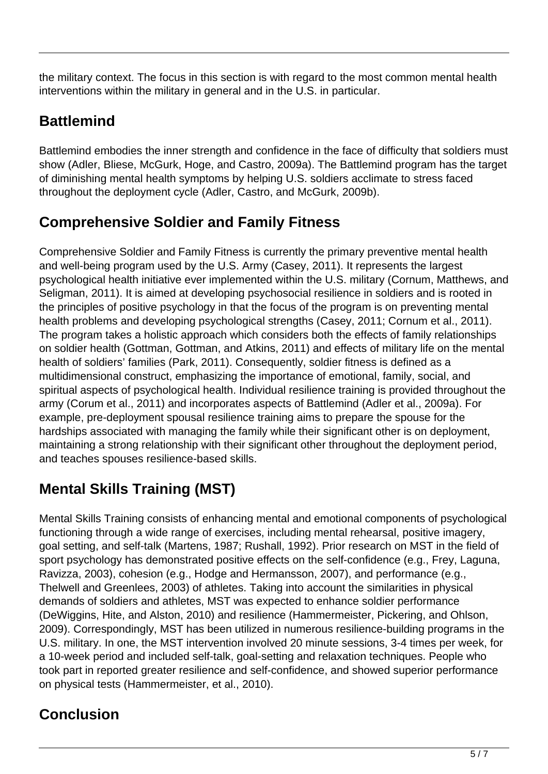the military context. The focus in this section is with regard to the most common mental health interventions within the military in general and in the U.S. in particular.

# **Battlemind**

Battlemind embodies the inner strength and confidence in the face of difficulty that soldiers must show (Adler, Bliese, McGurk, Hoge, and Castro, 2009a). The Battlemind program has the target of diminishing mental health symptoms by helping U.S. soldiers acclimate to stress faced throughout the deployment cycle (Adler, Castro, and McGurk, 2009b).

# **Comprehensive Soldier and Family Fitness**

Comprehensive Soldier and Family Fitness is currently the primary preventive mental health and well-being program used by the U.S. Army (Casey, 2011). It represents the largest psychological health initiative ever implemented within the U.S. military (Cornum, Matthews, and Seligman, 2011). It is aimed at developing psychosocial resilience in soldiers and is rooted in the principles of positive psychology in that the focus of the program is on preventing mental health problems and developing psychological strengths (Casey, 2011; Cornum et al., 2011). The program takes a holistic approach which considers both the effects of family relationships on soldier health (Gottman, Gottman, and Atkins, 2011) and effects of military life on the mental health of soldiers' families (Park, 2011). Consequently, soldier fitness is defined as a multidimensional construct, emphasizing the importance of emotional, family, social, and spiritual aspects of psychological health. Individual resilience training is provided throughout the army (Corum et al., 2011) and incorporates aspects of Battlemind (Adler et al., 2009a). For example, pre-deployment spousal resilience training aims to prepare the spouse for the hardships associated with managing the family while their significant other is on deployment, maintaining a strong relationship with their significant other throughout the deployment period, and teaches spouses resilience-based skills.

# **Mental Skills Training (MST)**

Mental Skills Training consists of enhancing mental and emotional components of psychological functioning through a wide range of exercises, including mental rehearsal, positive imagery, goal setting, and self-talk (Martens, 1987; Rushall, 1992). Prior research on MST in the field of sport psychology has demonstrated positive effects on the self-confidence (e.g., Frey, Laguna, Ravizza, 2003), cohesion (e.g., Hodge and Hermansson, 2007), and performance (e.g., Thelwell and Greenlees, 2003) of athletes. Taking into account the similarities in physical demands of soldiers and athletes, MST was expected to enhance soldier performance (DeWiggins, Hite, and Alston, 2010) and resilience (Hammermeister, Pickering, and Ohlson, 2009). Correspondingly, MST has been utilized in numerous resilience-building programs in the U.S. military. In one, the MST intervention involved 20 minute sessions, 3-4 times per week, for a 10-week period and included self-talk, goal-setting and relaxation techniques. People who took part in reported greater resilience and self-confidence, and showed superior performance on physical tests (Hammermeister, et al., 2010).

# **Conclusion**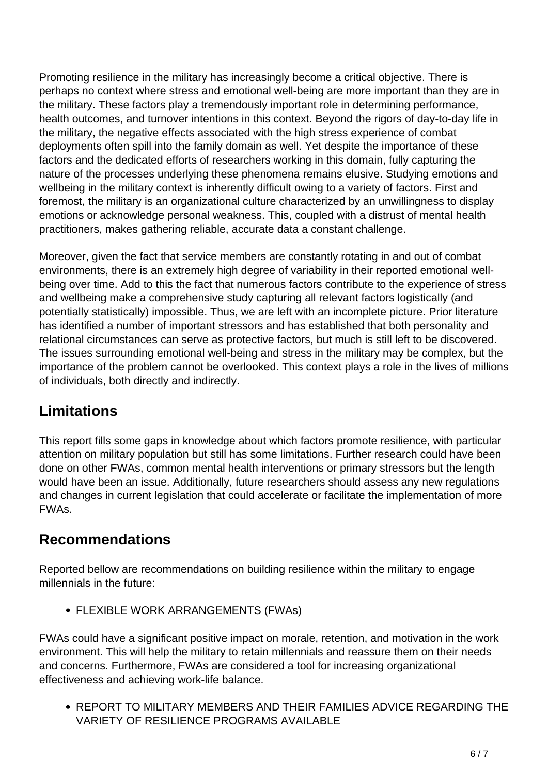Promoting resilience in the military has increasingly become a critical objective. There is perhaps no context where stress and emotional well-being are more important than they are in the military. These factors play a tremendously important role in determining performance, health outcomes, and turnover intentions in this context. Beyond the rigors of day-to-day life in the military, the negative effects associated with the high stress experience of combat deployments often spill into the family domain as well. Yet despite the importance of these factors and the dedicated efforts of researchers working in this domain, fully capturing the nature of the processes underlying these phenomena remains elusive. Studying emotions and wellbeing in the military context is inherently difficult owing to a variety of factors. First and foremost, the military is an organizational culture characterized by an unwillingness to display emotions or acknowledge personal weakness. This, coupled with a distrust of mental health practitioners, makes gathering reliable, accurate data a constant challenge.

Moreover, given the fact that service members are constantly rotating in and out of combat environments, there is an extremely high degree of variability in their reported emotional wellbeing over time. Add to this the fact that numerous factors contribute to the experience of stress and wellbeing make a comprehensive study capturing all relevant factors logistically (and potentially statistically) impossible. Thus, we are left with an incomplete picture. Prior literature has identified a number of important stressors and has established that both personality and relational circumstances can serve as protective factors, but much is still left to be discovered. The issues surrounding emotional well-being and stress in the military may be complex, but the importance of the problem cannot be overlooked. This context plays a role in the lives of millions of individuals, both directly and indirectly.

## **Limitations**

This report fills some gaps in knowledge about which factors promote resilience, with particular attention on military population but still has some limitations. Further research could have been done on other FWAs, common mental health interventions or primary stressors but the length would have been an issue. Additionally, future researchers should assess any new regulations and changes in current legislation that could accelerate or facilitate the implementation of more FWAs.

## **Recommendations**

Reported bellow are recommendations on building resilience within the military to engage millennials in the future:

FLEXIBLE WORK ARRANGEMENTS (FWAs)

FWAs could have a significant positive impact on morale, retention, and motivation in the work environment. This will help the military to retain millennials and reassure them on their needs and concerns. Furthermore, FWAs are considered a tool for increasing organizational effectiveness and achieving work-life balance.

REPORT TO MILITARY MEMBERS AND THEIR FAMILIES ADVICE REGARDING THE VARIETY OF RESILIENCE PROGRAMS AVAILABLE